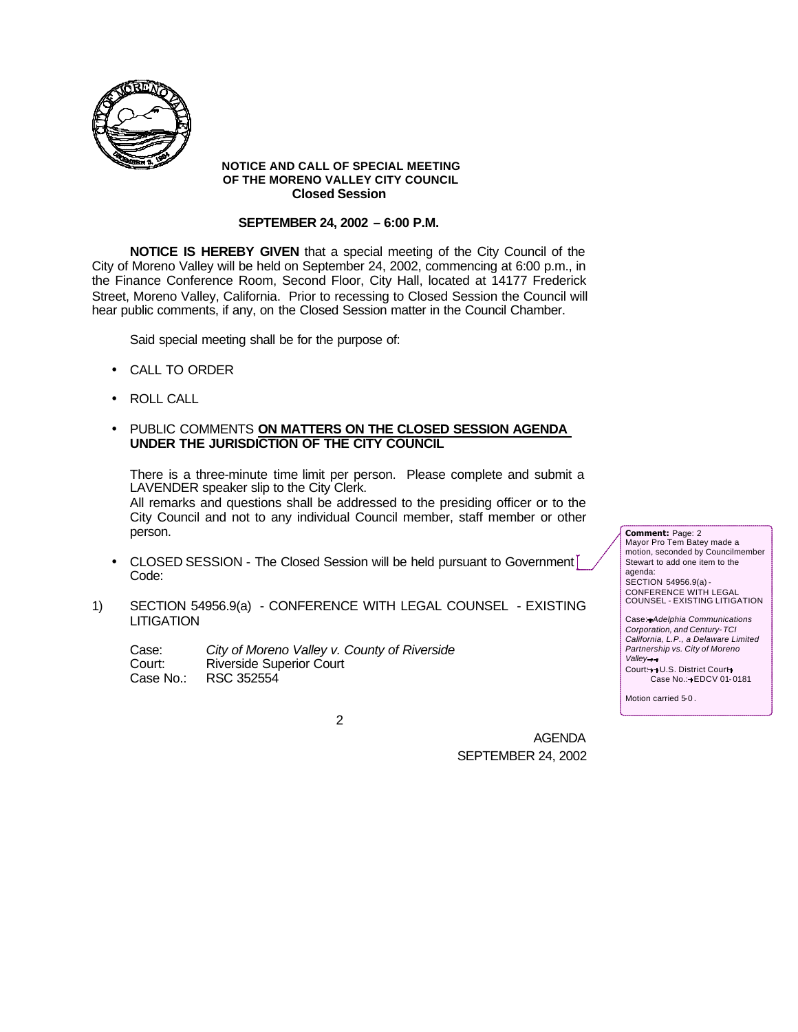

### **NOTICE AND CALL OF SPECIAL MEETING OF THE MORENO VALLEY CITY COUNCIL Closed Session**

### **SEPTEMBER 24, 2002 – 6:00 P.M.**

**NOTICE IS HEREBY GIVEN** that a special meeting of the City Council of the City of Moreno Valley will be held on September 24, 2002, commencing at 6:00 p.m., in the Finance Conference Room, Second Floor, City Hall, located at 14177 Frederick Street, Moreno Valley, California. Prior to recessing to Closed Session the Council will hear public comments, if any, on the Closed Session matter in the Council Chamber.

Said special meeting shall be for the purpose of:

- CALL TO ORDER
- ROLL CALL
- PUBLIC COMMENTS **ON MATTERS ON THE CLOSED SESSION AGENDA UNDER THE JURISDICTION OF THE CITY COUNCIL**

There is a three-minute time limit per person. Please complete and submit a LAVENDER speaker slip to the City Clerk.

All remarks and questions shall be addressed to the presiding officer or to the City Council and not to any individual Council member, staff member or other person.

- CLOSED SESSION The Closed Session will be held pursuant to Government Code:
- 1) SECTION 54956.9(a) CONFERENCE WITH LEGAL COUNSEL EXISTING **LITIGATION**

Case: *City of Moreno Valley v. County of Riverside* Court: Riverside Superior Court Case No.: RSC 352554

motion, seconded by Councilmember Stewart to add one item to the agenda: SECTION 54956.9(a) - CONFERENCE WITH LEGAL COUNSEL - EXISTING LITIGATION Case: *Adelphia Communications Corporation, and Century-TCI* 

*California, L.P., a Delaware Limited Partnership vs. City of Moreno Valley* Court: + U.S. District Court+

Case No.: FDCV 01-0181

Motion carried 5-0 .

**Comment:** Page: 2 Mayor Pro Tem Batey made a

2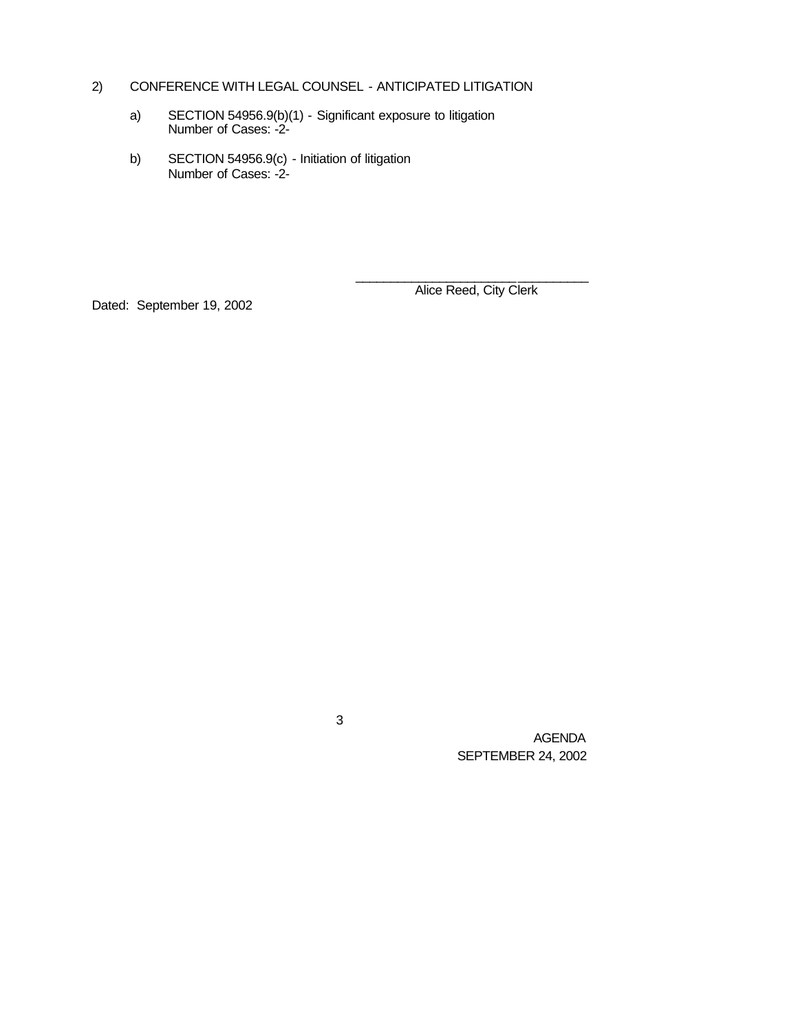# 2) CONFERENCE WITH LEGAL COUNSEL - ANTICIPATED LITIGATION

- a) SECTION 54956.9(b)(1) Significant exposure to litigation Number of Cases: -2-
- b) SECTION 54956.9(c) Initiation of litigation Number of Cases: -2-

Dated: September 19, 2002

\_\_\_\_\_\_\_\_\_\_\_\_\_\_\_\_\_\_\_\_\_\_\_\_\_\_\_\_\_\_\_\_\_ Alice Reed, City Clerk

3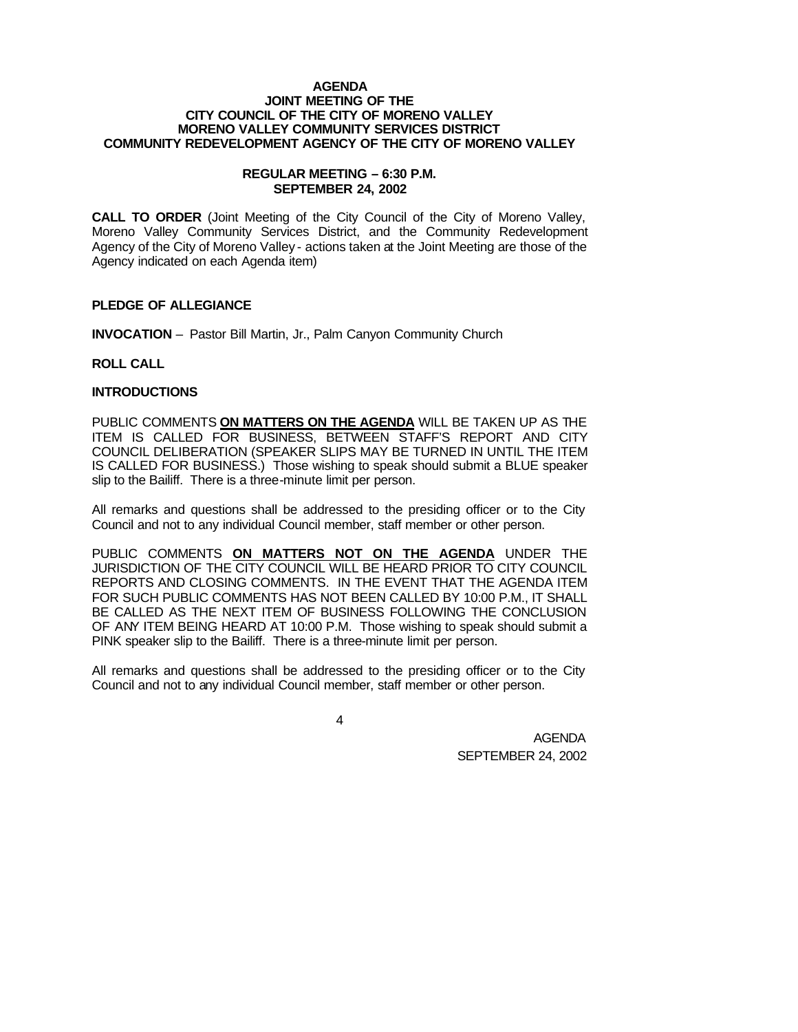#### **AGENDA JOINT MEETING OF THE CITY COUNCIL OF THE CITY OF MORENO VALLEY MORENO VALLEY COMMUNITY SERVICES DISTRICT COMMUNITY REDEVELOPMENT AGENCY OF THE CITY OF MORENO VALLEY**

#### **REGULAR MEETING – 6:30 P.M. SEPTEMBER 24, 2002**

**CALL TO ORDER** (Joint Meeting of the City Council of the City of Moreno Valley, Moreno Valley Community Services District, and the Community Redevelopment Agency of the City of Moreno Valley - actions taken at the Joint Meeting are those of the Agency indicated on each Agenda item)

### **PLEDGE OF ALLEGIANCE**

**INVOCATION** – Pastor Bill Martin, Jr., Palm Canyon Community Church

### **ROLL CALL**

### **INTRODUCTIONS**

PUBLIC COMMENTS **ON MATTERS ON THE AGENDA** WILL BE TAKEN UP AS THE ITEM IS CALLED FOR BUSINESS, BETWEEN STAFF'S REPORT AND CITY COUNCIL DELIBERATION (SPEAKER SLIPS MAY BE TURNED IN UNTIL THE ITEM IS CALLED FOR BUSINESS.) Those wishing to speak should submit a BLUE speaker slip to the Bailiff. There is a three-minute limit per person.

All remarks and questions shall be addressed to the presiding officer or to the City Council and not to any individual Council member, staff member or other person.

PUBLIC COMMENTS **ON MATTERS NOT ON THE AGENDA** UNDER THE JURISDICTION OF THE CITY COUNCIL WILL BE HEARD PRIOR TO CITY COUNCIL REPORTS AND CLOSING COMMENTS. IN THE EVENT THAT THE AGENDA ITEM FOR SUCH PUBLIC COMMENTS HAS NOT BEEN CALLED BY 10:00 P.M., IT SHALL BE CALLED AS THE NEXT ITEM OF BUSINESS FOLLOWING THE CONCLUSION OF ANY ITEM BEING HEARD AT 10:00 P.M. Those wishing to speak should submit a PINK speaker slip to the Bailiff. There is a three-minute limit per person.

All remarks and questions shall be addressed to the presiding officer or to the City Council and not to any individual Council member, staff member or other person.

4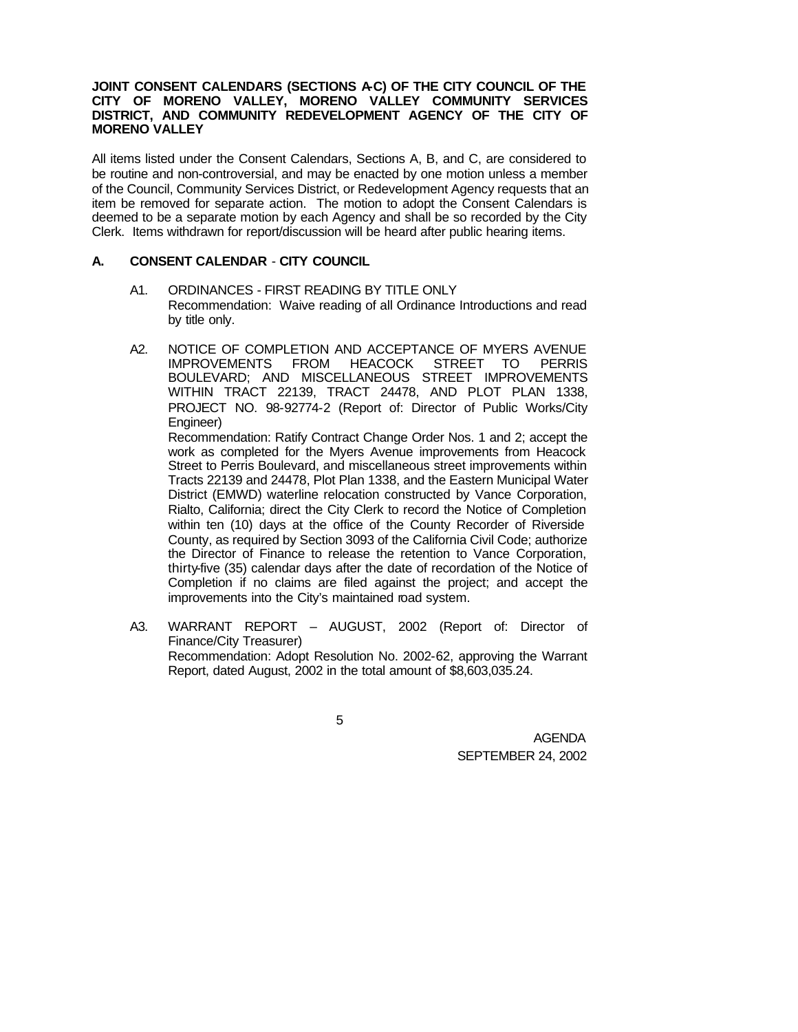### JOINT CONSENT CALENDARS (SECTIONS A-C) OF THE CITY COUNCIL OF THE **CITY OF MORENO VALLEY, MORENO VALLEY COMMUNITY SERVICES DISTRICT, AND COMMUNITY REDEVELOPMENT AGENCY OF THE CITY OF MORENO VALLEY**

All items listed under the Consent Calendars, Sections A, B, and C, are considered to be routine and non-controversial, and may be enacted by one motion unless a member of the Council, Community Services District, or Redevelopment Agency requests that an item be removed for separate action. The motion to adopt the Consent Calendars is deemed to be a separate motion by each Agency and shall be so recorded by the City Clerk. Items withdrawn for report/discussion will be heard after public hearing items.

# **A. CONSENT CALENDAR** - **CITY COUNCIL**

- A1. ORDINANCES FIRST READING BY TITLE ONLY Recommendation: Waive reading of all Ordinance Introductions and read by title only.
- A2. NOTICE OF COMPLETION AND ACCEPTANCE OF MYERS AVENUE IMPROVEMENTS FROM HEACOCK STREET TO PERRIS BOULEVARD; AND MISCELLANEOUS STREET IMPROVEMENTS WITHIN TRACT 22139, TRACT 24478, AND PLOT PLAN 1338, PROJECT NO. 98-92774-2 (Report of: Director of Public Works/City Engineer)

Recommendation: Ratify Contract Change Order Nos. 1 and 2; accept the work as completed for the Myers Avenue improvements from Heacock Street to Perris Boulevard, and miscellaneous street improvements within Tracts 22139 and 24478, Plot Plan 1338, and the Eastern Municipal Water District (EMWD) waterline relocation constructed by Vance Corporation, Rialto, California; direct the City Clerk to record the Notice of Completion within ten (10) days at the office of the County Recorder of Riverside County, as required by Section 3093 of the California Civil Code; authorize the Director of Finance to release the retention to Vance Corporation, thirty-five (35) calendar days after the date of recordation of the Notice of Completion if no claims are filed against the project; and accept the improvements into the City's maintained road system.

A3. WARRANT REPORT – AUGUST, 2002 (Report of: Director of Finance/City Treasurer) Recommendation: Adopt Resolution No. 2002-62, approving the Warrant Report, dated August, 2002 in the total amount of \$8,603,035.24.

5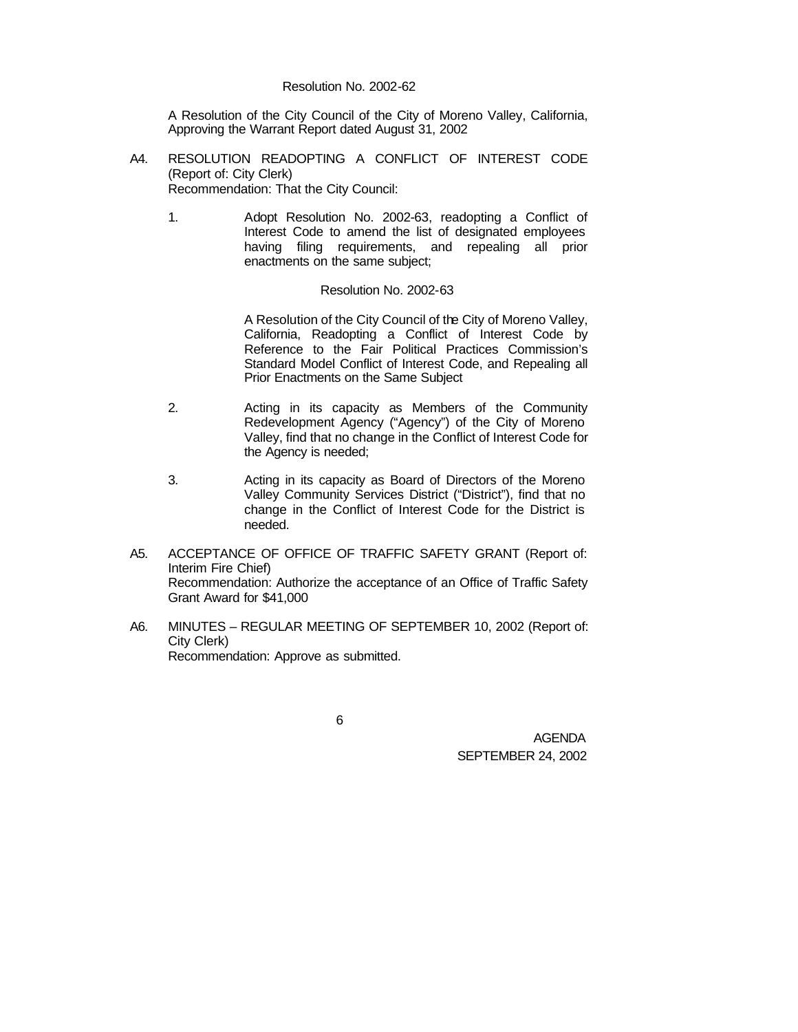A Resolution of the City Council of the City of Moreno Valley, California, Approving the Warrant Report dated August 31, 2002

- A4. RESOLUTION READOPTING A CONFLICT OF INTEREST CODE (Report of: City Clerk) Recommendation: That the City Council:
	- 1. Adopt Resolution No. 2002-63, readopting a Conflict of Interest Code to amend the list of designated employees having filing requirements, and repealing all prior enactments on the same subject;

#### Resolution No. 2002-63

A Resolution of the City Council of the City of Moreno Valley, California, Readopting a Conflict of Interest Code by Reference to the Fair Political Practices Commission's Standard Model Conflict of Interest Code, and Repealing all Prior Enactments on the Same Subject

- 2. Acting in its capacity as Members of the Community Redevelopment Agency ("Agency") of the City of Moreno Valley, find that no change in the Conflict of Interest Code for the Agency is needed;
- 3. Acting in its capacity as Board of Directors of the Moreno Valley Community Services District ("District"), find that no change in the Conflict of Interest Code for the District is needed.
- A5. ACCEPTANCE OF OFFICE OF TRAFFIC SAFETY GRANT (Report of: Interim Fire Chief) Recommendation: Authorize the acceptance of an Office of Traffic Safety Grant Award for \$41,000
- A6. MINUTES REGULAR MEETING OF SEPTEMBER 10, 2002 (Report of: City Clerk) Recommendation: Approve as submitted.

6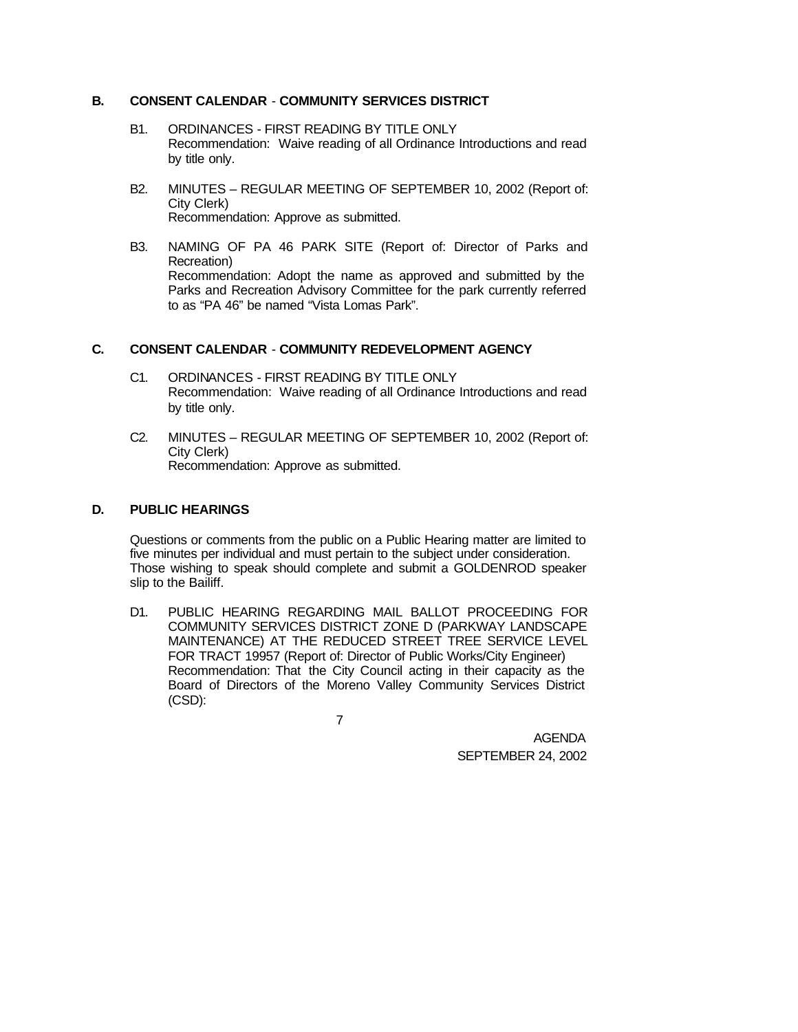# **B. CONSENT CALENDAR** - **COMMUNITY SERVICES DISTRICT**

- B1. ORDINANCES FIRST READING BY TITLE ONLY Recommendation: Waive reading of all Ordinance Introductions and read by title only.
- B2. MINUTES REGULAR MEETING OF SEPTEMBER 10, 2002 (Report of: City Clerk) Recommendation: Approve as submitted.
- B3. NAMING OF PA 46 PARK SITE (Report of: Director of Parks and Recreation) Recommendation: Adopt the name as approved and submitted by the Parks and Recreation Advisory Committee for the park currently referred to as "PA 46" be named "Vista Lomas Park".

# **C. CONSENT CALENDAR** - **COMMUNITY REDEVELOPMENT AGENCY**

- C1. ORDINANCES FIRST READING BY TITLE ONLY Recommendation: Waive reading of all Ordinance Introductions and read by title only.
- C2. MINUTES REGULAR MEETING OF SEPTEMBER 10, 2002 (Report of: City Clerk) Recommendation: Approve as submitted.

# **D. PUBLIC HEARINGS**

Questions or comments from the public on a Public Hearing matter are limited to five minutes per individual and must pertain to the subject under consideration. Those wishing to speak should complete and submit a GOLDENROD speaker slip to the Bailiff.

D1. PUBLIC HEARING REGARDING MAIL BALLOT PROCEEDING FOR COMMUNITY SERVICES DISTRICT ZONE D (PARKWAY LANDSCAPE MAINTENANCE) AT THE REDUCED STREET TREE SERVICE LEVEL FOR TRACT 19957 (Report of: Director of Public Works/City Engineer) Recommendation: That the City Council acting in their capacity as the Board of Directors of the Moreno Valley Community Services District (CSD):

7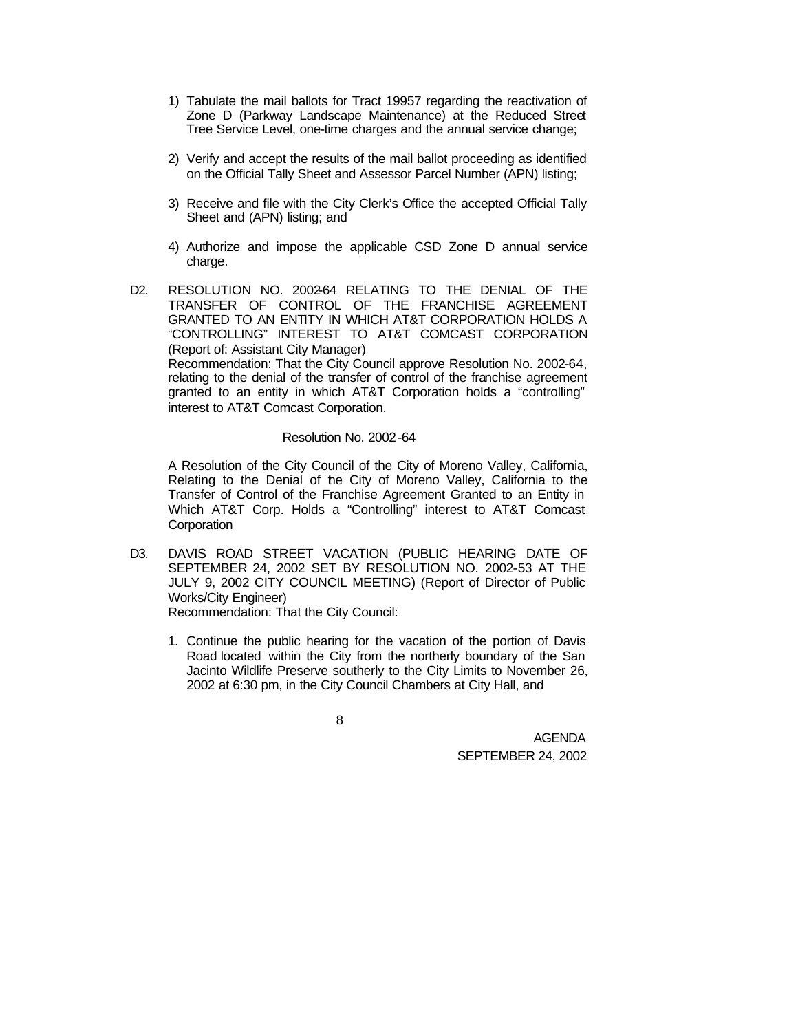- 1) Tabulate the mail ballots for Tract 19957 regarding the reactivation of Zone D (Parkway Landscape Maintenance) at the Reduced Street Tree Service Level, one-time charges and the annual service change;
- 2) Verify and accept the results of the mail ballot proceeding as identified on the Official Tally Sheet and Assessor Parcel Number (APN) listing;
- 3) Receive and file with the City Clerk's Office the accepted Official Tally Sheet and (APN) listing; and
- 4) Authorize and impose the applicable CSD Zone D annual service charge.
- D2. RESOLUTION NO. 2002-64 RELATING TO THE DENIAL OF THE TRANSFER OF CONTROL OF THE FRANCHISE AGREEMENT GRANTED TO AN ENTITY IN WHICH AT&T CORPORATION HOLDS A "CONTROLLING" INTEREST TO AT&T COMCAST CORPORATION (Report of: Assistant City Manager) Recommendation: That the City Council approve Resolution No. 2002-64, relating to the denial of the transfer of control of the franchise agreement granted to an entity in which AT&T Corporation holds a "controlling" interest to AT&T Comcast Corporation.

#### Resolution No. 2002-64

A Resolution of the City Council of the City of Moreno Valley, California, Relating to the Denial of the City of Moreno Valley, California to the Transfer of Control of the Franchise Agreement Granted to an Entity in Which AT&T Corp. Holds a "Controlling" interest to AT&T Comcast **Corporation** 

D3. DAVIS ROAD STREET VACATION (PUBLIC HEARING DATE OF SEPTEMBER 24, 2002 SET BY RESOLUTION NO. 2002-53 AT THE JULY 9, 2002 CITY COUNCIL MEETING) (Report of Director of Public Works/City Engineer)

Recommendation: That the City Council:

1. Continue the public hearing for the vacation of the portion of Davis Road located within the City from the northerly boundary of the San Jacinto Wildlife Preserve southerly to the City Limits to November 26, 2002 at 6:30 pm, in the City Council Chambers at City Hall, and

|         | ۰<br>٠ |         |  |
|---------|--------|---------|--|
| ۰.<br>٠ | ٠<br>× |         |  |
| ×<br>×  | ۰.     | i<br>۰. |  |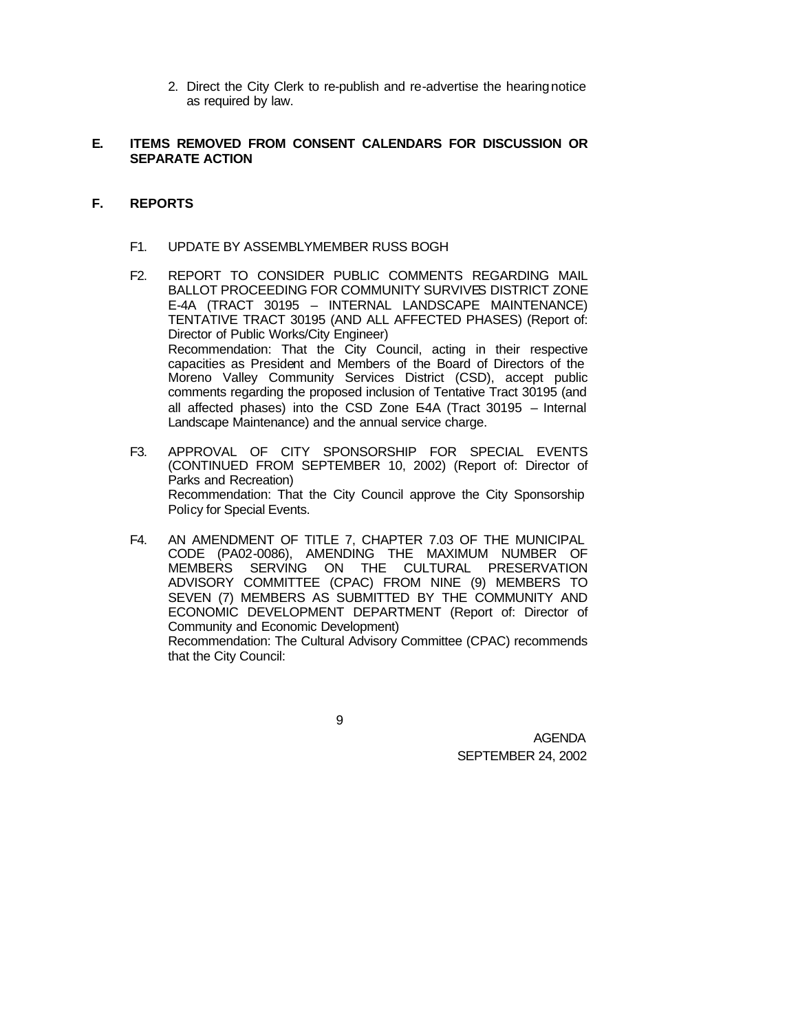2. Direct the City Clerk to re-publish and re-advertise the hearing notice as required by law.

# **E. ITEMS REMOVED FROM CONSENT CALENDARS FOR DISCUSSION OR SEPARATE ACTION**

# **F. REPORTS**

- F1. UPDATE BY ASSEMBLYMEMBER RUSS BOGH
- F2. REPORT TO CONSIDER PUBLIC COMMENTS REGARDING MAIL BALLOT PROCEEDING FOR COMMUNITY SURVIVES DISTRICT ZONE E-4A (TRACT 30195 – INTERNAL LANDSCAPE MAINTENANCE) TENTATIVE TRACT 30195 (AND ALL AFFECTED PHASES) (Report of: Director of Public Works/City Engineer) Recommendation: That the City Council, acting in their respective capacities as President and Members of the Board of Directors of the Moreno Valley Community Services District (CSD), accept public comments regarding the proposed inclusion of Tentative Tract 30195 (and all affected phases) into the CSD Zone E4A (Tract 30195 - Internal Landscape Maintenance) and the annual service charge.
- F3. APPROVAL OF CITY SPONSORSHIP FOR SPECIAL EVENTS (CONTINUED FROM SEPTEMBER 10, 2002) (Report of: Director of Parks and Recreation) Recommendation: That the City Council approve the City Sponsorship Policy for Special Events.
- F4. AN AMENDMENT OF TITLE 7, CHAPTER 7.03 OF THE MUNICIPAL CODE (PA02-0086), AMENDING THE MAXIMUM NUMBER OF MEMBERS SERVING ON THE CULTURAL PRESERVATION ADVISORY COMMITTEE (CPAC) FROM NINE (9) MEMBERS TO SEVEN (7) MEMBERS AS SUBMITTED BY THE COMMUNITY AND ECONOMIC DEVELOPMENT DEPARTMENT (Report of: Director of Community and Economic Development) Recommendation: The Cultural Advisory Committee (CPAC) recommends that the City Council:

9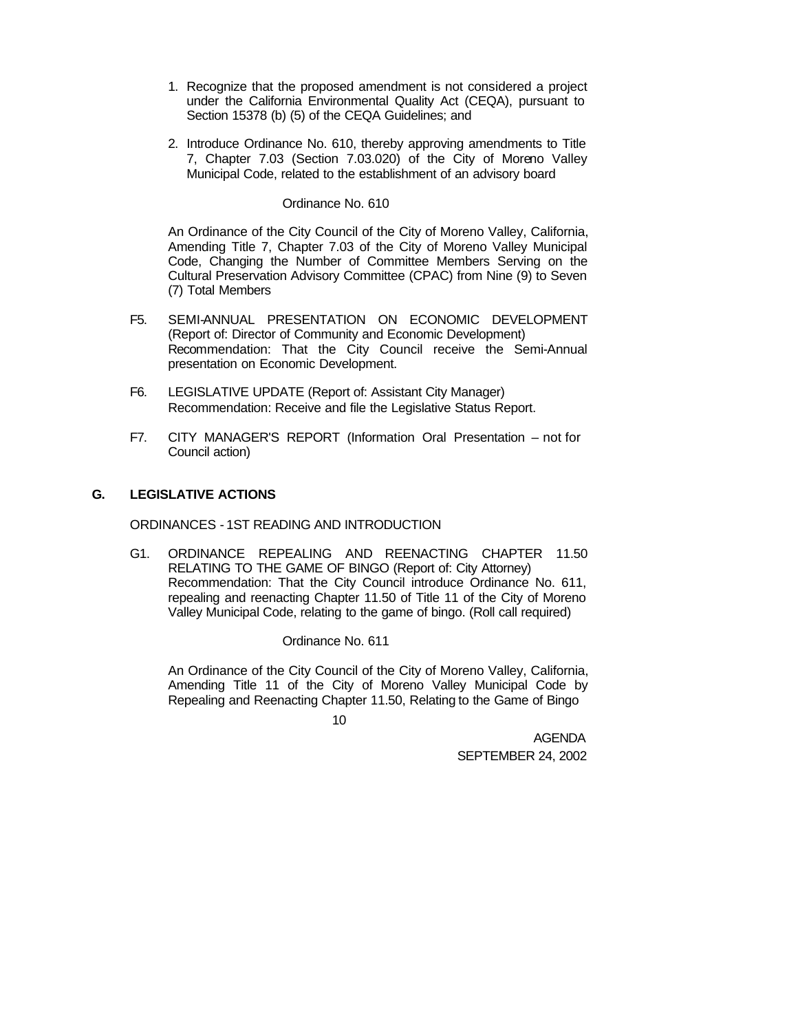- 1. Recognize that the proposed amendment is not considered a project under the California Environmental Quality Act (CEQA), pursuant to Section 15378 (b) (5) of the CEQA Guidelines; and
- 2. Introduce Ordinance No. 610, thereby approving amendments to Title 7, Chapter 7.03 (Section 7.03.020) of the City of Moreno Valley Municipal Code, related to the establishment of an advisory board

### Ordinance No. 610

An Ordinance of the City Council of the City of Moreno Valley, California, Amending Title 7, Chapter 7.03 of the City of Moreno Valley Municipal Code, Changing the Number of Committee Members Serving on the Cultural Preservation Advisory Committee (CPAC) from Nine (9) to Seven (7) Total Members

- F5. SEMI-ANNUAL PRESENTATION ON ECONOMIC DEVELOPMENT (Report of: Director of Community and Economic Development) Recommendation: That the City Council receive the Semi-Annual presentation on Economic Development.
- F6. LEGISLATIVE UPDATE (Report of: Assistant City Manager) Recommendation: Receive and file the Legislative Status Report.
- F7. CITY MANAGER'S REPORT (Information Oral Presentation not for Council action)

# **G. LEGISLATIVE ACTIONS**

ORDINANCES - 1ST READING AND INTRODUCTION

G1. ORDINANCE REPEALING AND REENACTING CHAPTER 11.50 RELATING TO THE GAME OF BINGO (Report of: City Attorney) Recommendation: That the City Council introduce Ordinance No. 611, repealing and reenacting Chapter 11.50 of Title 11 of the City of Moreno Valley Municipal Code, relating to the game of bingo. (Roll call required)

Ordinance No. 611

An Ordinance of the City Council of the City of Moreno Valley, California, Amending Title 11 of the City of Moreno Valley Municipal Code by Repealing and Reenacting Chapter 11.50, Relating to the Game of Bingo

 $1<sub>0</sub>$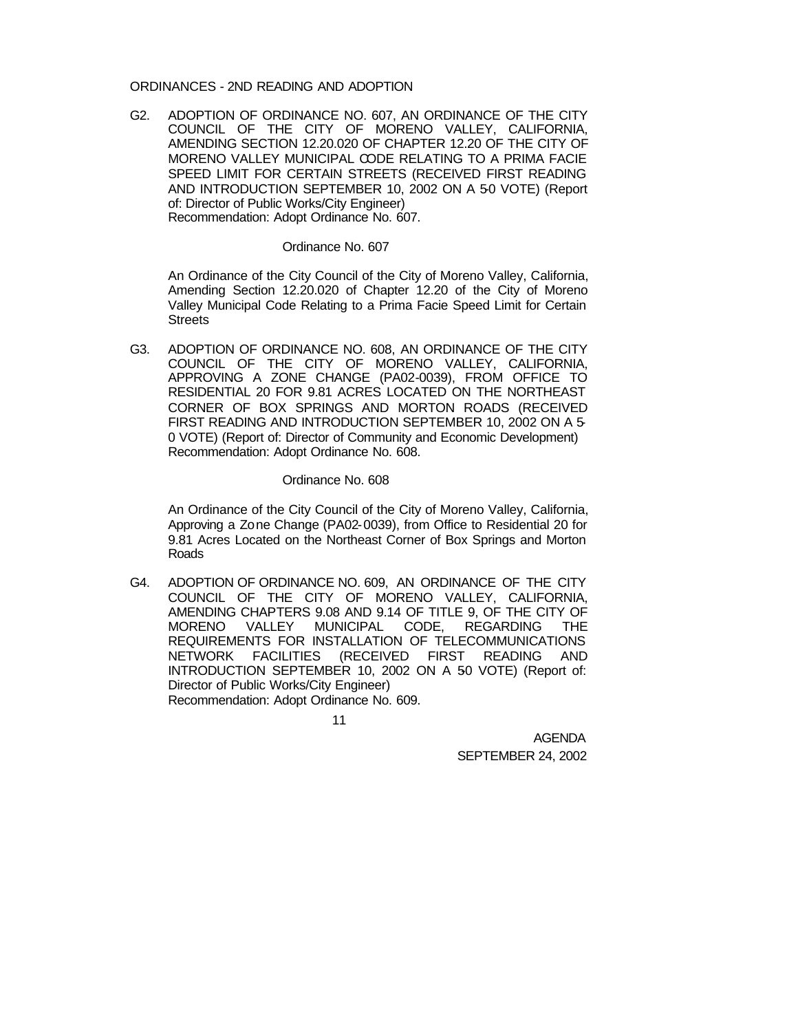### ORDINANCES - 2ND READING AND ADOPTION

G2. ADOPTION OF ORDINANCE NO. 607, AN ORDINANCE OF THE CITY COUNCIL OF THE CITY OF MORENO VALLEY, CALIFORNIA, AMENDING SECTION 12.20.020 OF CHAPTER 12.20 OF THE CITY OF MORENO VALLEY MUNICIPAL CODE RELATING TO A PRIMA FACIE SPEED LIMIT FOR CERTAIN STREETS (RECEIVED FIRST READING AND INTRODUCTION SEPTEMBER 10, 2002 ON A 5-0 VOTE) (Report of: Director of Public Works/City Engineer) Recommendation: Adopt Ordinance No. 607.

#### Ordinance No. 607

An Ordinance of the City Council of the City of Moreno Valley, California, Amending Section 12.20.020 of Chapter 12.20 of the City of Moreno Valley Municipal Code Relating to a Prima Facie Speed Limit for Certain **Streets** 

G3. ADOPTION OF ORDINANCE NO. 608, AN ORDINANCE OF THE CITY COUNCIL OF THE CITY OF MORENO VALLEY, CALIFORNIA, APPROVING A ZONE CHANGE (PA02-0039), FROM OFFICE TO RESIDENTIAL 20 FOR 9.81 ACRES LOCATED ON THE NORTHEAST CORNER OF BOX SPRINGS AND MORTON ROADS (RECEIVED FIRST READING AND INTRODUCTION SEPTEMBER 10, 2002 ON A 5- 0 VOTE) (Report of: Director of Community and Economic Development) Recommendation: Adopt Ordinance No. 608.

### Ordinance No. 608

An Ordinance of the City Council of the City of Moreno Valley, California, Approving a Zone Change (PA02-0039), from Office to Residential 20 for 9.81 Acres Located on the Northeast Corner of Box Springs and Morton Roads

G4. ADOPTION OF ORDINANCE NO. 609, AN ORDINANCE OF THE CITY COUNCIL OF THE CITY OF MORENO VALLEY, CALIFORNIA, AMENDING CHAPTERS 9.08 AND 9.14 OF TITLE 9, OF THE CITY OF MORENO VALLEY MUNICIPAL CODE, REGARDING THE REQUIREMENTS FOR INSTALLATION OF TELECOMMUNICATIONS NETWORK FACILITIES (RECEIVED FIRST READING AND INTRODUCTION SEPTEMBER 10, 2002 ON A 50 VOTE) (Report of: Director of Public Works/City Engineer) Recommendation: Adopt Ordinance No. 609.

11